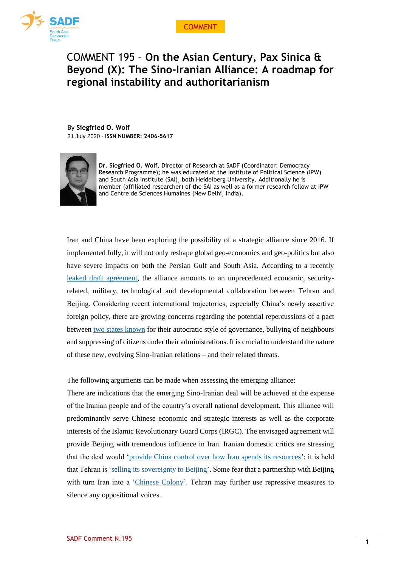

## COMMENT 195 – **On the Asian Century, Pax Sinica & Beyond (X): The Sino-Iranian Alliance: A roadmap for regional instability and authoritarianism**

By **Siegfried O. Wolf** 31 July 2020 - **ISSN NUMBER: 2406-5617**



**Dr. Siegfried O. Wolf**, Director of Research at SADF (Coordinator: Democracy Research Programme); he was educated at the Institute of Political Science (IPW) and South Asia Institute (SAI), both Heidelberg University. Additionally he is member (affiliated researcher) of the SAI as well as a former research fellow at IPW and Centre de Sciences Humaines (New Delhi, India).

Iran and China have been exploring the possibility of a strategic alliance since 2016. If implemented fully, it will not only reshape global geo-economics and geo-politics but also have severe impacts on both the Persian Gulf and South Asia. According to a recently [leaked draft agreement,](https://besacenter.org/perspectives-papers/iran-china-25-year-plan/) the alliance amounts to an unprecedented economic, securityrelated, military, technological and developmental collaboration between Tehran and Beijing. Considering recent international trajectories, especially China's newly assertive foreign policy, there are growing concerns regarding the potential repercussions of a pact between [two states known](https://www.wsj.com/articles/iran-and-china-the-totalitarian-twins-11595266709) for their autocratic style of governance, bullying of neighbours and suppressing of citizens under their administrations. It is crucial to understand the nature of these new, evolving Sino-Iranian relations – and their related threats.

The following arguments can be made when assessing the emerging alliance:

There are indications that the emerging Sino-Iranian deal will be achieved at the expense of the Iranian people and of the country's overall national development. This alliance will predominantly serve Chinese economic and strategic interests as well as the corporate interests of the Islamic Revolutionary Guard Corps (IRGC). The envisaged agreement will provide Beijing with tremendous influence in Iran. Iranian domestic critics are stressing that the deal would ['provide China control over how Iran spends its resources'](https://besacenter.org/perspectives-papers/iran-china-25-year-plan/); it is held that Tehran is ['selling its sovereignty to Beijing'](https://besacenter.org/perspectives-papers/iran-china-25-year-plan/). Some fear that a partnership with Beijing with turn Iran into a ['Chinese Colony'](https://www.al-monitor.com/pulse/originals/2020/07/iran-government-rouhani-secretive-deal-china.html). Tehran may further use repressive measures to silence any oppositional voices.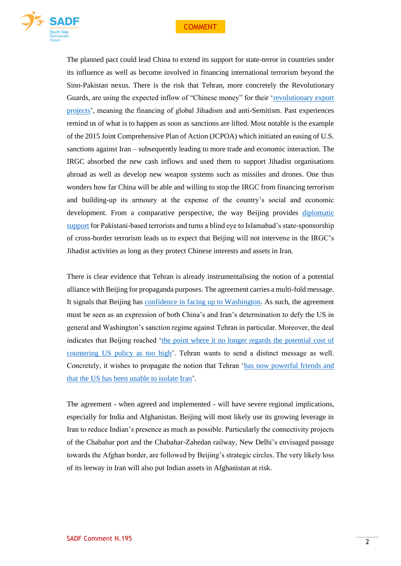



The planned pact could lead China to extend its support for state-terror in countries under its influence as well as become involved in financing international terrorism beyond the Sino-Pakistan nexus. There is the risk that Tehran, more concretely the Revolutionary Guards, are using the expected inflow of "Chinese money" for their ['revolutionary export](https://besacenter.org/perspectives-papers/iran-china-25-year-plan/)  [projects'](https://besacenter.org/perspectives-papers/iran-china-25-year-plan/), meaning the financing of global Jihadism and anti-Semitism. Past experiences remind us of what is to happen as soon as sanctions are lifted. Most notable is the example of the 2015 Joint Comprehensive Plan of Action (JCPOA) which initiated an easing of U.S. sanctions against Iran – subsequently leading to more trade and economic interaction. The IRGC absorbed the new cash inflows and used them to support Jihadist organisations abroad as well as develop new weapon systems such as missiles and drones. One thus wonders how far China will be able and willing to stop the IRGC from financing terrorism and building-up its armoury at the expense of the country's social and economic development. From a comparative perspective, the way Beijing provides [diplomatic](https://www.sadf.eu/sadf-comment-68-double-standards-understanding-chinas-diplomatic-support-pakistans-cross-border-terrorists-dr-wolf/)  [support](https://www.sadf.eu/sadf-comment-68-double-standards-understanding-chinas-diplomatic-support-pakistans-cross-border-terrorists-dr-wolf/) for Pakistani-based terrorists and turns a blind eye to Islamabad's state-sponsorship of cross-border terrorism leads us to expect that Beijing will not intervene in the IRGC's Jihadist activities as long as they protect Chinese interests and assets in Iran.

There is clear evidence that Tehran is already instrumentalising the notion of a potential alliance with Beijing for propaganda purposes. The agreement carries a multi-fold message. It signals that Beijing has [confidence in facing up to Washington.](https://www.thenational.ae/opinion/comment/potential-china-iran-pact-could-be-more-symbolic-than-strategic-1.1051018) As such, the agreement must be seen as an expression of both China's and Iran's determination to defy the US in general and Washington's sanction regime against Tehran in particular. Moreover, the deal indicates that Beijing reached ['the point where it no longer regards the potential cost of](https://www.straitstimes.com/asia/the-china-iran-deal-daily-star-contributor)  [countering US policy as too high'](https://www.straitstimes.com/asia/the-china-iran-deal-daily-star-contributor). Tehran wants to send a distinct message as well. Concretely, it wishes to propagate the notion that Tehran ['has now powerful friends and](https://indianexpress.com/article/explained/china-iran-trade-investment-relations-india-6519303/)  [that the US has been unable to isolate Iran'](https://indianexpress.com/article/explained/china-iran-trade-investment-relations-india-6519303/).

The agreement - when agreed and implemented - will have severe regional implications, especially for India and Afghanistan. Beijing will most likely use its growing leverage in Iran to reduce Indian's presence as much as possible. Particularly the connectivity projects of the Chabahar port and the Chabahar-Zahedan railway, New Delhi's envisaged passage towards the Afghan border, are followed by Beijing's strategic circles. The very likely loss of its leeway in Iran will also put Indian assets in Afghanistan at risk.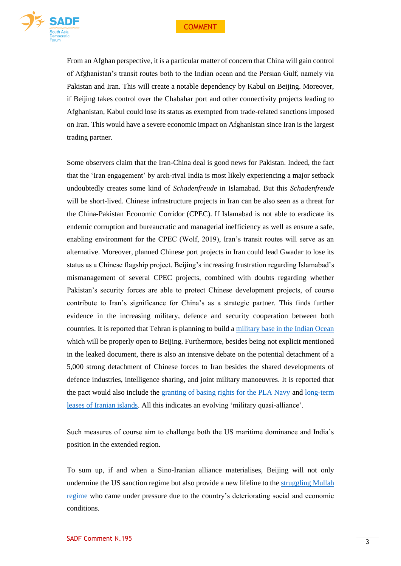

From an Afghan perspective, it is a particular matter of concern that China will gain control of Afghanistan's transit routes both to the Indian ocean and the Persian Gulf, namely via Pakistan and Iran. This will create a notable dependency by Kabul on Beijing. Moreover, if Beijing takes control over the Chabahar port and other connectivity projects leading to Afghanistan, Kabul could lose its status as exempted from trade-related sanctions imposed on Iran. This would have a severe economic impact on Afghanistan since Iran is the largest trading partner.

Some observers claim that the Iran-China deal is good news for Pakistan. Indeed, the fact that the 'Iran engagement' by arch-rival India is most likely experiencing a major setback undoubtedly creates some kind of *Schadenfreude* in Islamabad. But this *Schadenfreude* will be short-lived. Chinese infrastructure projects in Iran can be also seen as a threat for the China-Pakistan Economic Corridor (CPEC). If Islamabad is not able to eradicate its endemic corruption and bureaucratic and managerial inefficiency as well as ensure a safe, enabling environment for the CPEC (Wolf, 2019), Iran's transit routes will serve as an alternative. Moreover, planned Chinese port projects in Iran could lead Gwadar to lose its status as a Chinese flagship project. Beijing's increasing frustration regarding Islamabad's mismanagement of several CPEC projects, combined with doubts regarding whether Pakistan's security forces are able to protect Chinese development projects, of course contribute to Iran's significance for China's as a strategic partner. This finds further evidence in the increasing military, defence and security cooperation between both countries. It is reported that Tehran is planning to build [a military base in the Indian Ocean](https://www.gatestoneinstitute.org/16252/iran-china-military-alliance) which will be properly open to Beijing. Furthermore, besides being not explicit mentioned in the leaked document, there is also an intensive debate on the potential detachment of a 5,000 strong detachment of Chinese forces to Iran besides the shared developments of defence industries, intelligence sharing, and joint military manoeuvres. It is reported that the pact would also include the [granting of basing rights for the PLA Navy](https://www.nytimes.com/2020/07/21/opinion/china-iran.html) and [long-term](https://www.nytimes.com/2020/07/21/opinion/china-iran.html)  [leases of Iranian islands.](https://www.nytimes.com/2020/07/21/opinion/china-iran.html) All this indicates an evolving 'military quasi-alliance'.

Such measures of course aim to challenge both the US maritime dominance and India's position in the extended region.

To sum up, if and when a Sino-Iranian alliance materialises, Beijing will not only undermine the US sanction regime but also provide a new lifeline to the [struggling Mullah](https://www.thenational.ae/business/comment/iran-s-deeper-partnership-with-china-is-not-all-that-it-appears-to-be-1.1047946)  [regime](https://www.thenational.ae/business/comment/iran-s-deeper-partnership-with-china-is-not-all-that-it-appears-to-be-1.1047946) who came under pressure due to the country's deteriorating social and economic conditions.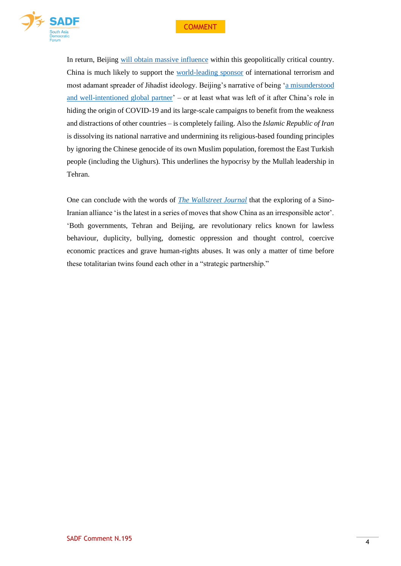

In return, Beijing [will obtain massive influence](https://www.forbes.com/sites/arielcohen/2020/07/17/china-and-iran-approach-massive-400-billion-deal/#7f1438b92a16) within this geopolitically critical country. China is much likely to support the [world-leading sponsor](https://www.nytimes.com/2020/07/21/opinion/china-iran.html) of international terrorism and most adamant spreader of Jihadist ideology. Beijing's narrative of being ['a misunderstood](https://www.nytimes.com/2020/07/21/opinion/china-iran.html)  [and well-intentioned global partner'](https://www.nytimes.com/2020/07/21/opinion/china-iran.html) – or at least what was left of it after China's role in hiding the origin of COVID-19 and its large-scale campaigns to benefit from the weakness and distractions of other countries – is completely failing. Also the *Islamic Republic of Iran*  is dissolving its national narrative and undermining its religious-based founding principles by ignoring the Chinese genocide of its own Muslim population, foremost the East Turkish people (including the Uighurs). This underlines the hypocrisy by the Mullah leadership in Tehran.

One can conclude with the words of *[The Wallstreet Journal](https://www.wsj.com/articles/iran-and-china-the-totalitarian-twins-11595266709)* that the exploring of a Sino-Iranian alliance 'is the latest in a series of moves that show China as an irresponsible actor'. 'Both governments, Tehran and Beijing, are revolutionary relics known for lawless behaviour, duplicity, bullying, domestic oppression and thought control, coercive economic practices and grave human-rights abuses. It was only a matter of time before these totalitarian twins found each other in a "strategic partnership."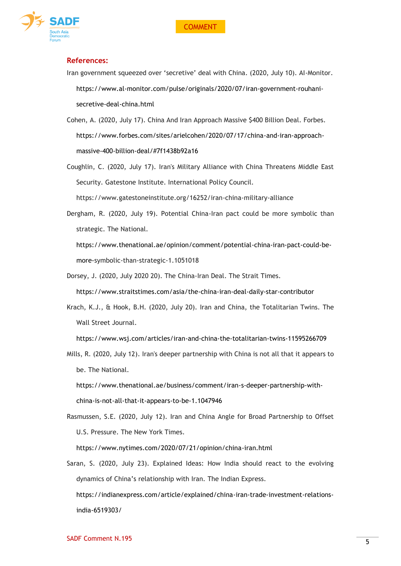



## **References:**

- Iran government squeezed over 'secretive' deal with China. (2020, July 10). AI-Monitor. [https://www.al-monitor.com/pulse/originals/2020/07/iran-government-rouhani](https://www.al-monitor.com/pulse/originals/2020/07/iran-government-rouhani-secretive-deal-china.html)[secretive-deal-china.html](https://www.al-monitor.com/pulse/originals/2020/07/iran-government-rouhani-secretive-deal-china.html)
- Cohen, A. (2020, July 17). China And Iran Approach Massive \$400 Billion Deal. Forbes. [https://www.forbes.com/sites/arielcohen/2020/07/17/china-and-iran-approach](https://www.forbes.com/sites/arielcohen/2020/07/17/china-and-iran-approach-massive-400-billion-deal/#7f1438b92a16)[massive-400-billion-deal/#7f1438b92a16](https://www.forbes.com/sites/arielcohen/2020/07/17/china-and-iran-approach-massive-400-billion-deal/#7f1438b92a16)
- Coughlin, C. (2020, July 17). Iran's Military Alliance with China Threatens Middle East Security. Gatestone Institute. International Policy Council.

https://www.gatestoneinstitute.org/16252/iran-china-military-alliance

Dergham, R. (2020, July 19). Potential China-Iran pact could be more symbolic than strategic. The National. [https://www.thenational.ae/opinion/comment/potential-china-iran-pact-could-be-](https://www.thenational.ae/opinion/comment/potential-china-iran-pact-could-be-more-)

[more-s](https://www.thenational.ae/opinion/comment/potential-china-iran-pact-could-be-more-)ymbolic-than-strategic-1.1051018

- Dorsey, J. (2020, July 2020 20). The China-Iran Deal. The Strait Times. <https://www.straitstimes.com/asia/the-china-iran-deal-daily-star-contributor>
- Krach, K.J., & Hook, B.H. (2020, July 20). Iran and China, the Totalitarian Twins. The Wall Street Journal.

<https://www.wsj.com/articles/iran-and-china-the-totalitarian-twins-11595266709>

Mills, R. (2020, July 12). Iran's deeper partnership with China is not all that it appears to be. The National.

[https://www.thenational.ae/business/comment/iran-s-deeper-partnership-with](https://www.thenational.ae/business/comment/iran-s-deeper-partnership-with-china-is-not-all-that-it-appears-to-be-1.1047946)[china-is-not-all-that-it-appears-to-be-1.1047946](https://www.thenational.ae/business/comment/iran-s-deeper-partnership-with-china-is-not-all-that-it-appears-to-be-1.1047946)

Rasmussen, S.E. (2020, July 12). Iran and China Angle for Broad Partnership to Offset U.S. Pressure. The New York Times.

<https://www.nytimes.com/2020/07/21/opinion/china-iran.html>

Saran, S. (2020, July 23). Explained Ideas: How India should react to the evolving dynamics of China's relationship with Iran. The Indian Express. [https://indianexpress.com/article/explained/china-iran-trade-investment-relations](https://indianexpress.com/article/explained/china-iran-trade-investment-relations-india-6519303/)[india-6519303/](https://indianexpress.com/article/explained/china-iran-trade-investment-relations-india-6519303/)